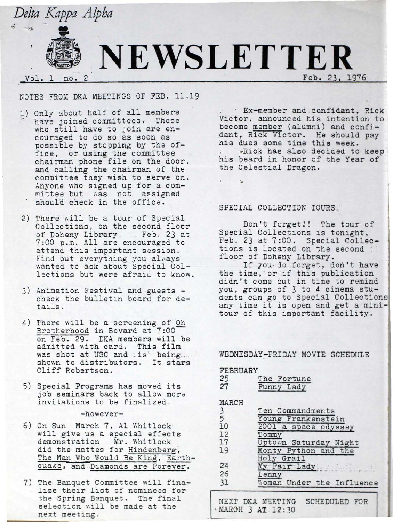

## NOTES FROM DKA MEETINGS OF FEB. 11,19

- 1) Only about half of all members have joined committees. Those who still have to join are encouraged to do so as soon as possible by stopping by the office, or using the committee chairman phone file on the door, and calling the chairman of the committee they wish to serve on. Anyone who signed up for a com mittee but was not assigned should check in the office.
- 2) There will be a tour of Special Collections, on the second floor of Doheny Library . Feb. 23 at 7:00 p.m. All are encouraged to attend this important session. Find out everything you always wanted to ask about Special Collections but were afraid to know.
- 3) Animation Festival and guests check the bulletin board for details.
- 4) There will be a screening of Oh Brotherhood in Bovard at 7:00 on Feb. 29. DKA members will be admitted with card. This film was shot at USC and is being .... shown to distributors. It stars Cliff Robertson.
- 5) Special Programs has moved its job seminars back to allow more invitations to be finalized.

### $-hower$ -

- 6) On Sun March 7, Al Whitlock will give us a special effects demonstration Mr. Whitlock did the mattes for Hindenberg, The Man Who Would Be King, Earthquake, and Diamonds are Forever.
- 7) The Banquet Committee will finalize their list of nominees for the Spring Banquet. The final selection will be made at the next meeting.

· Ex•member and confidant, Rick Victor, announced his intention to become member (alumni) and confjdant, Rick Victor. He should pay his dues some time this week. ·Rick has also decided to keep his beard in honor of the Year of the Celestial Dragon.

Feb. 23, 1976

## SPECIAL COLLECTION TOURS.

Don't forget!! The tour of Special Collections is tonight, Feb. 23 at 7:00. Special Collections is located on the second :<br>floor of Doheny Library.

If you do forget, don't have the time, or if this publication didn't come out in time to remind you, groups of 3 to 4 cinema students can go to Special Collections any time it is open and get a minitour of this important facility.

# WEDNESDAY~FRIDAY MOVIE SCHEDULE

### FEBRUARY

·.,

| 25<br>27      | The Fortune<br>Funny Lady |
|---------------|---------------------------|
| MARCH         |                           |
| $\frac{3}{5}$ | Ten Commandments          |
|               | Young Frankenstein        |
| 10            | 2001 a space odyssey      |
| 12            | Tommy                     |
| 17            | Uptown Saturday Night     |
| 19            | Monty Python and the      |
|               | Holy Grail                |
| 24            | My Fair Lady              |
| 26            | Lenny                     |
| 31            | Woman Under the Influence |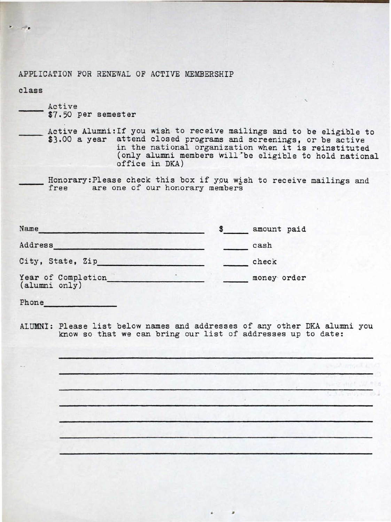APPLICATION FOR RENEWAL OF ACTIVE MEMBERSHIP

class

Active \$7.50 per semester

Active Alumni: If you wish to receive mailings and to be eligible to \$3.00 a year attend closed programs and screenings, or be active in the national organization when it is reinstituted (only alumni members will "be eligible *tb* hold national office in. DKA)

·

Honorary: Please check this box if you wish to receive mailings and free are one of our honorary members

| Name                                 |  | amount paid |
|--------------------------------------|--|-------------|
| Address                              |  | cash        |
| City, State, Zip                     |  | check       |
| Year of Completion_<br>(alumni only) |  | money order |

Phone

ALUMN!: Please list below names and addresses of any other DKA alumni you know so that we can bring our list of addresses up to date:

•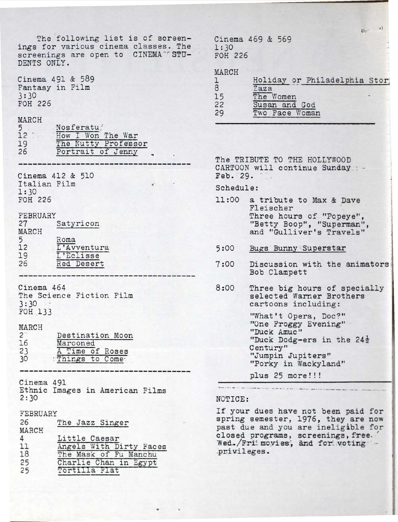The following list is of screenings for various cinema classes. The screenings are open to CINEMA<sup>-r</sup>STU-DENTS ONLY. Cinema 491 & 589 Fantasy in Film  $3:30$ FOH 226 MARCH Nosferatu 5  $12$ How I Won The War 19 The Nutty Professor Portrait of Jenny 26 Cinema 412 & 510 Italian Film  $1:30$ FOH 226 FEBRUARY  $27$ Satyricon MARCH  $5<sup>5</sup>$ Roma L'Avventura  $12$ 19 L'Eclisse 26 Red Desert Cinema 464 The Science Fiction Film  $3:30$ FOH 133 MARCH  $2^{-}$ Destination Moon 16 Marooned A Time of Roses 23 30 Things to Come Cinema 491 Ethnic Images in American Films  $2:30$ FEBRUARY 26 The Jazz Singer MARCH  $\overline{4}$ Little Caesar Angels With Dirty Faces 11 18 The Mask of Fu Manchu 25 Charlie Chan in Egypt  $25$ Tortilla Flat

Cinema 469 & 569  $1:30$ FOH 226

MARCH

|    | Holiday or Philadelphia Stor; |  |
|----|-------------------------------|--|
| 8  | Zaza                          |  |
| 15 | The Women                     |  |
| 22 | Susan and God                 |  |
| 29 | Two Face Woman                |  |
|    |                               |  |

 $\epsilon$  ?

 $E_{\text{N}}$ 

The TRIBUTE TO THE HOLLYWOOD CARTOON will continue Sunday :-Feb. 29.

Schedule:

- 11:00 a tribute to Max & Dave Fleischer Three hours of "Popeye", "Betty Boop", "Superman", and "Gulliver's Travels"
- $5:00$ Bugs Bunny Superstar
- Discussion with the animators  $7:00$ Bob Clampett
- Three big hours of specially<br>selected Warner Brothers  $8:00$ cartoons including:

"What't Opera, Doc?" "One Froggy Evening" "Duck Amuc" "Duck Dodg-ers in the 24<sup>}</sup> Century" "Jumpin Jupiters" "Porky in Wackyland"

plus 25 more!!!

### NOTICE:

If your dues have not been paid for spring semester, 1976, they are now past due and you are ineligible for closed programs, screenings, free.<br>Wed./Fri movies, and for voting privileges.